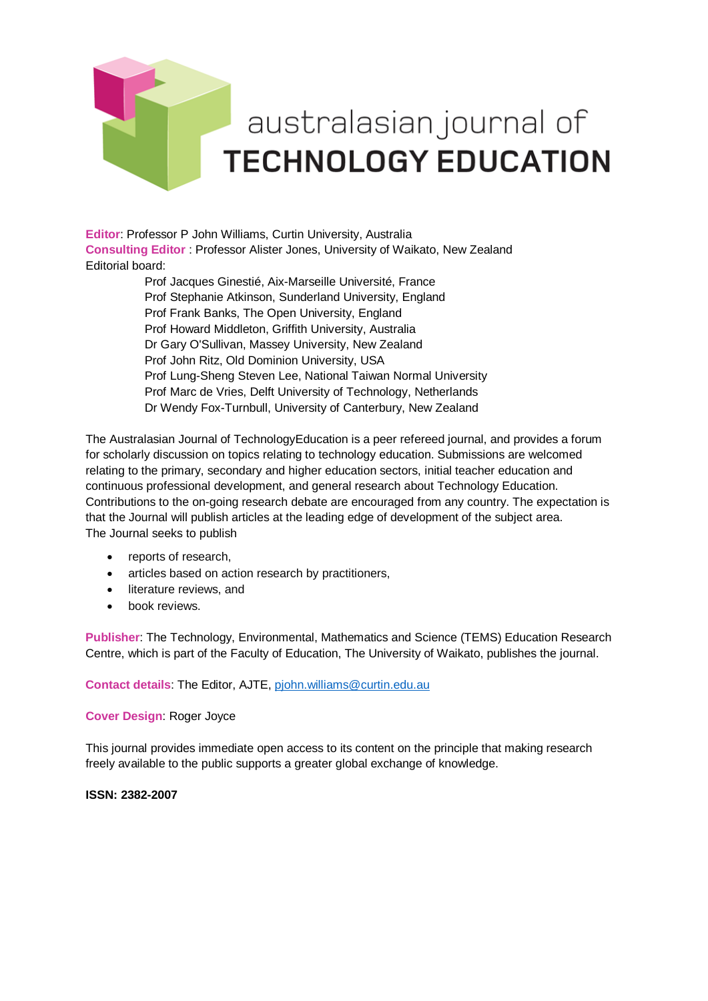

**Editor**: Professor P John Williams, Curtin University, Australia **Consulting Editor** : Professor Alister Jones, University of Waikato, New Zealand Editorial board:

> [Prof Jacques Ginestié,](javascript:openRTWindow() Aix-Marseille Université, France Prof [Stephanie Atkinson,](javascript:openRTWindow() Sunderland University, England [Prof Frank Banks,](javascript:openRTWindow() The Open University, England [Prof Howard Middleton,](javascript:openRTWindow() Griffith University, Australia Dr [Gary O'Sullivan,](javascript:openRTWindow() Massey University, New Zealand [Prof John Ritz,](javascript:openRTWindow() Old Dominion University, USA [Prof Lung-Sheng Steven Lee,](javascript:openRTWindow() National Taiwan Normal University [Prof Marc de Vries,](javascript:openRTWindow() Delft University of Technology, Netherlands Dr Wendy Fox-Turnbull, University of Canterbury, New Zealand

The Australasian Journal of TechnologyEducation is a peer refereed journal, and provides a forum for scholarly discussion on topics relating to technology education. Submissions are welcomed relating to the primary, secondary and higher education sectors, initial teacher education and continuous professional development, and general research about Technology Education. Contributions to the on-going research debate are encouraged from any country. The expectation is that the Journal will publish articles at the leading edge of development of the subject area. The Journal seeks to publish

- reports of research,
- articles based on action research by practitioners,
- literature reviews, and
- book reviews.

**Publisher**: The Technology, Environmental, Mathematics and Science (TEMS) Education Research Centre, which is part of the Faculty of Education, The University of Waikato, publishes the journal.

**Contact details**: The Editor, AJTE, [pjohn.williams@curtin.edu.au](mailto:pjohn.williams@curtin.edu.au)

**Cover Design**: Roger Joyce

This journal provides immediate open access to its content on the principle that making research freely available to the public supports a greater global exchange of knowledge.

**ISSN: 2382-2007**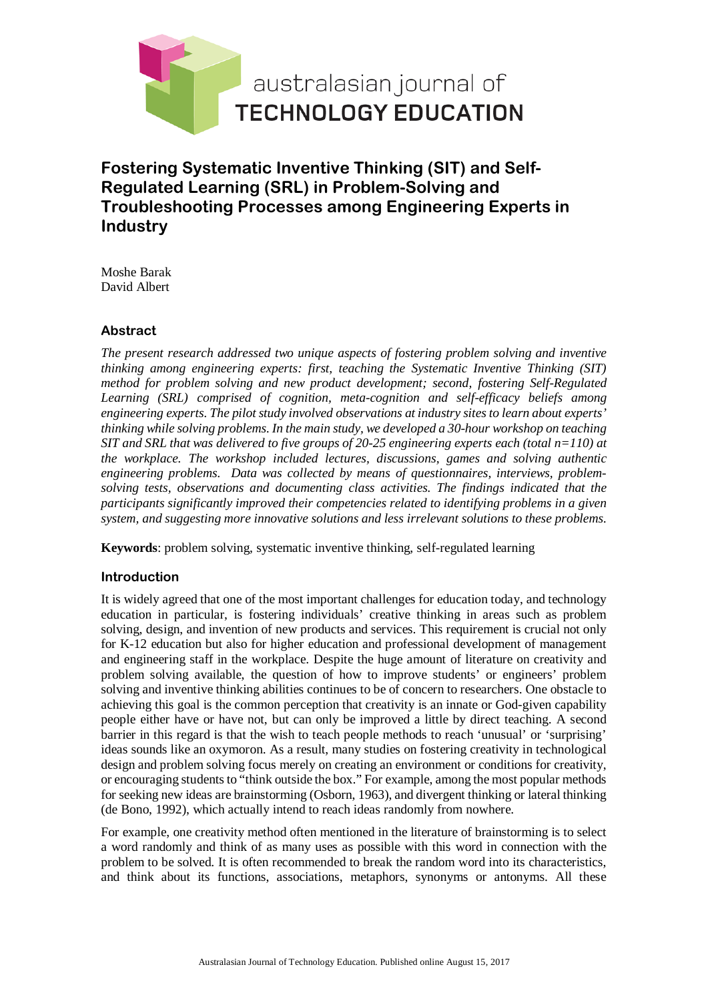

**Fostering Systematic Inventive Thinking (SIT) and Self-Regulated Learning (SRL) in Problem-Solving and Troubleshooting Processes among Engineering Experts in Industry**

Moshe Barak David Albert

## **Abstract**

*The present research addressed two unique aspects of fostering problem solving and inventive thinking among engineering experts: first, teaching the Systematic Inventive Thinking (SIT) method for problem solving and new product development; second, fostering Self-Regulated Learning (SRL) comprised of cognition, meta-cognition and self-efficacy beliefs among engineering experts. The pilot study involved observations at industry sites to learn about experts' thinking while solving problems. In the main study, we developed a 30-hour workshop on teaching SIT and SRL that was delivered to five groups of 20-25 engineering experts each (total n=110) at the workplace. The workshop included lectures, discussions, games and solving authentic engineering problems. Data was collected by means of questionnaires, interviews, problemsolving tests, observations and documenting class activities. The findings indicated that the participants significantly improved their competencies related to identifying problems in a given system, and suggesting more innovative solutions and less irrelevant solutions to these problems.* 

**Keywords**: problem solving, systematic inventive thinking, self-regulated learning

### **Introduction**

It is widely agreed that one of the most important challenges for education today, and technology education in particular, is fostering individuals' creative thinking in areas such as problem solving, design, and invention of new products and services. This requirement is crucial not only for K-12 education but also for higher education and professional development of management and engineering staff in the workplace. Despite the huge amount of literature on creativity and problem solving available, the question of how to improve students' or engineers' problem solving and inventive thinking abilities continues to be of concern to researchers. One obstacle to achieving this goal is the common perception that creativity is an innate or God-given capability people either have or have not, but can only be improved a little by direct teaching. A second barrier in this regard is that the wish to teach people methods to reach 'unusual' or 'surprising' ideas sounds like an oxymoron. As a result, many studies on fostering creativity in technological design and problem solving focus merely on creating an environment or conditions for creativity, or encouraging students to "think outside the box." For example, among the most popular methods for seeking new ideas are brainstorming (Osborn, 1963), and divergent thinking or lateral thinking (de Bono, 1992), which actually intend to reach ideas randomly from nowhere.

For example, one creativity method often mentioned in the literature of brainstorming is to select a word randomly and think of as many uses as possible with this word in connection with the problem to be solved. It is often recommended to break the random word into its characteristics, and think about its functions, associations, metaphors, synonyms or antonyms. All these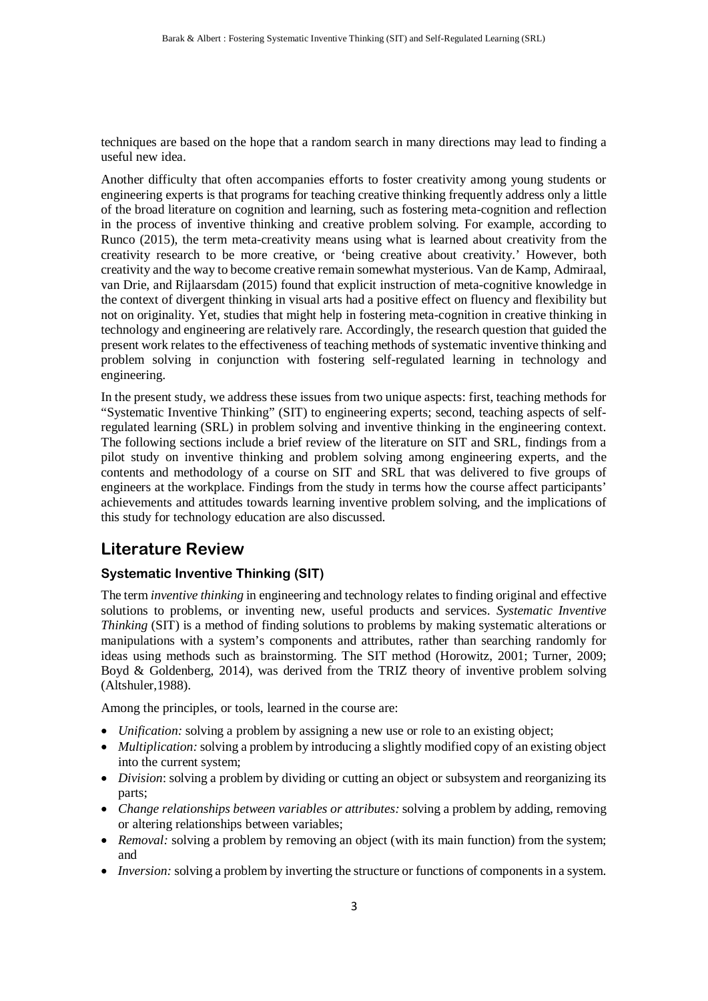techniques are based on the hope that a random search in many directions may lead to finding a useful new idea.

Another difficulty that often accompanies efforts to foster creativity among young students or engineering experts is that programs for teaching creative thinking frequently address only a little of the broad literature on cognition and learning, such as fostering meta-cognition and reflection in the process of inventive thinking and creative problem solving. For example, according to Runco (2015), the term meta-creativity means using what is learned about creativity from the creativity research to be more creative, or 'being creative about creativity.' However, both creativity and the way to become creative remain somewhat mysterious. Van de Kamp, Admiraal, van Drie, and Rijlaarsdam (2015) found that explicit instruction of meta-cognitive knowledge in the context of divergent thinking in visual arts had a positive effect on fluency and flexibility but not on originality. Yet, studies that might help in fostering meta-cognition in creative thinking in technology and engineering are relatively rare. Accordingly, the research question that guided the present work relates to the effectiveness of teaching methods of systematic inventive thinking and problem solving in conjunction with fostering self-regulated learning in technology and engineering.

In the present study, we address these issues from two unique aspects: first, teaching methods for "Systematic Inventive Thinking" (SIT) to engineering experts; second, teaching aspects of selfregulated learning (SRL) in problem solving and inventive thinking in the engineering context. The following sections include a brief review of the literature on SIT and SRL, findings from a pilot study on inventive thinking and problem solving among engineering experts, and the contents and methodology of a course on SIT and SRL that was delivered to five groups of engineers at the workplace. Findings from the study in terms how the course affect participants' achievements and attitudes towards learning inventive problem solving, and the implications of this study for technology education are also discussed.

# **Literature Review**

## **Systematic Inventive Thinking (SIT)**

The term *inventive thinking* in engineering and technology relates to finding original and effective solutions to problems, or inventing new, useful products and services. *Systematic Inventive Thinking* (SIT) is a method of finding solutions to problems by making systematic alterations or manipulations with a system's components and attributes, rather than searching randomly for ideas using methods such as brainstorming. The SIT method (Horowitz, 2001; Turner, 2009; Boyd & Goldenberg, 2014), was derived from the TRIZ theory of inventive problem solving (Altshuler,1988).

Among the principles, or tools, learned in the course are:

- *Unification:* solving a problem by assigning a new use or role to an existing object;
- *Multiplication:* solving a problem by introducing a slightly modified copy of an existing object into the current system;
- *Division*: solving a problem by dividing or cutting an object or subsystem and reorganizing its parts;
- *Change relationships between variables or attributes:* solving a problem by adding, removing or altering relationships between variables;
- *Removal:* solving a problem by removing an object (with its main function) from the system; and
- *Inversion:* solving a problem by inverting the structure or functions of components in a system.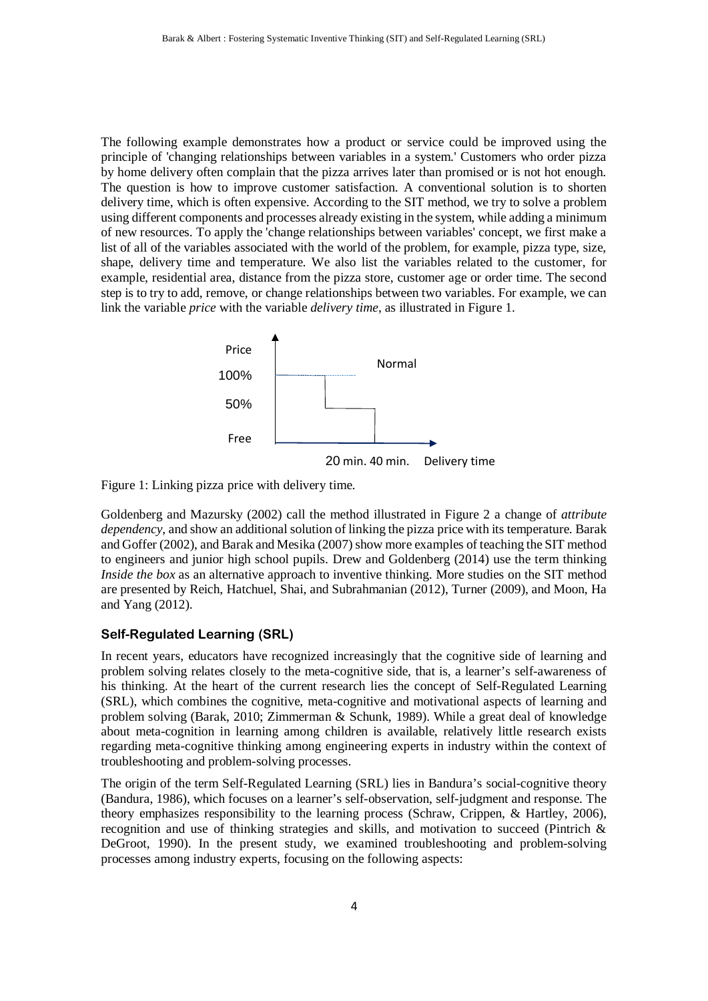The following example demonstrates how a product or service could be improved using the principle of 'changing relationships between variables in a system.' Customers who order pizza by home delivery often complain that the pizza arrives later than promised or is not hot enough. The question is how to improve customer satisfaction. A conventional solution is to shorten delivery time, which is often expensive. According to the SIT method, we try to solve a problem using different components and processes already existing in the system, while adding a minimum of new resources. To apply the 'change relationships between variables' concept, we first make a list of all of the variables associated with the world of the problem, for example, pizza type, size, shape, delivery time and temperature. We also list the variables related to the customer, for example, residential area, distance from the pizza store, customer age or order time. The second step is to try to add, remove, or change relationships between two variables. For example, we can link the variable *price* with the variable *delivery time*, as illustrated in Figure 1.



Figure 1: Linking pizza price with delivery time.

Goldenberg and Mazursky (2002) call the method illustrated in Figure 2 a change of *attribute dependency*, and show an additional solution of linking the pizza price with its temperature. Barak and Goffer (2002), and Barak and Mesika (2007) show more examples of teaching the SIT method to engineers and junior high school pupils. Drew and Goldenberg (2014) use the term thinking *Inside the box* as an alternative approach to inventive thinking. More studies on the SIT method are presented by Reich, Hatchuel, Shai, and Subrahmanian (2012), Turner (2009), and Moon, Ha and Yang (2012).

#### **Self-Regulated Learning (SRL)**

In recent years, educators have recognized increasingly that the cognitive side of learning and problem solving relates closely to the meta-cognitive side, that is, a learner's self-awareness of his thinking. At the heart of the current research lies the concept of Self-Regulated Learning (SRL), which combines the cognitive, meta-cognitive and motivational aspects of learning and problem solving (Barak, 2010; Zimmerman & Schunk, 1989). While a great deal of knowledge about meta-cognition in learning among children is available, relatively little research exists regarding meta-cognitive thinking among engineering experts in industry within the context of troubleshooting and problem-solving processes.

The origin of the term Self-Regulated Learning (SRL) lies in Bandura's social-cognitive theory (Bandura, 1986), which focuses on a learner's self-observation, self-judgment and response. The theory emphasizes responsibility to the learning process (Schraw, Crippen, & Hartley, 2006), recognition and use of thinking strategies and skills, and motivation to succeed (Pintrich & DeGroot, 1990). In the present study, we examined troubleshooting and problem-solving processes among industry experts, focusing on the following aspects: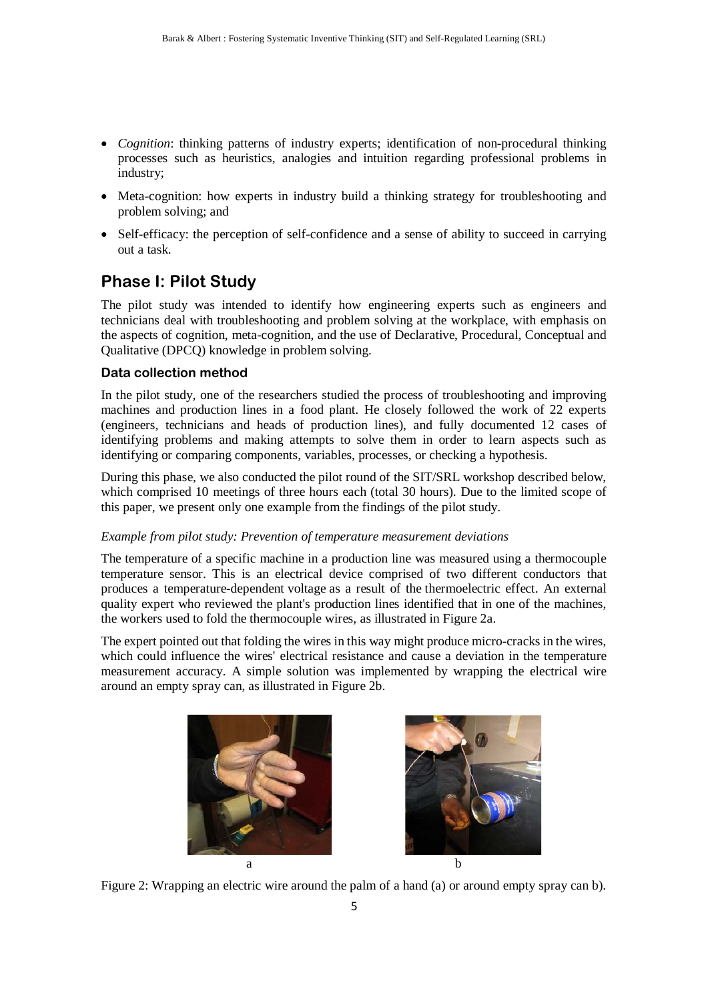- *Cognition*: thinking patterns of industry experts; identification of non-procedural thinking processes such as heuristics, analogies and intuition regarding professional problems in industry;
- Meta-cognition: how experts in industry build a thinking strategy for troubleshooting and problem solving; and
- Self-efficacy: the perception of self-confidence and a sense of ability to succeed in carrying out a task.

# **Phase I: Pilot Study**

The pilot study was intended to identify how engineering experts such as engineers and technicians deal with troubleshooting and problem solving at the workplace, with emphasis on the aspects of cognition, meta-cognition, and the use of Declarative, Procedural, Conceptual and Qualitative (DPCQ) knowledge in problem solving.

### **Data collection method**

In the pilot study, one of the researchers studied the process of troubleshooting and improving machines and production lines in a food plant. He closely followed the work of 22 experts (engineers, technicians and heads of production lines), and fully documented 12 cases of identifying problems and making attempts to solve them in order to learn aspects such as identifying or comparing components, variables, processes, or checking a hypothesis.

During this phase, we also conducted the pilot round of the SIT/SRL workshop described below, which comprised 10 meetings of three hours each (total 30 hours). Due to the limited scope of this paper, we present only one example from the findings of the pilot study.

#### *Example from pilot study: Prevention of temperature measurement deviations*

The temperature of a specific machine in a production line was measured using a thermocouple temperature sensor. This is an electrical device comprised of two different conductors that produces a temperature-dependent voltage as a result of the thermoelectric effect. An external quality expert who reviewed the plant's production lines identified that in one of the machines, the workers used to fold the thermocouple wires, as illustrated in Figure 2a.

The expert pointed out that folding the wires in this way might produce micro-cracks in the wires, which could influence the wires' electrical resistance and cause a deviation in the temperature measurement accuracy. A simple solution was implemented by wrapping the electrical wire around an empty spray can, as illustrated in Figure 2b.





Figure 2: Wrapping an electric wire around the palm of a hand (a) or around empty spray can b).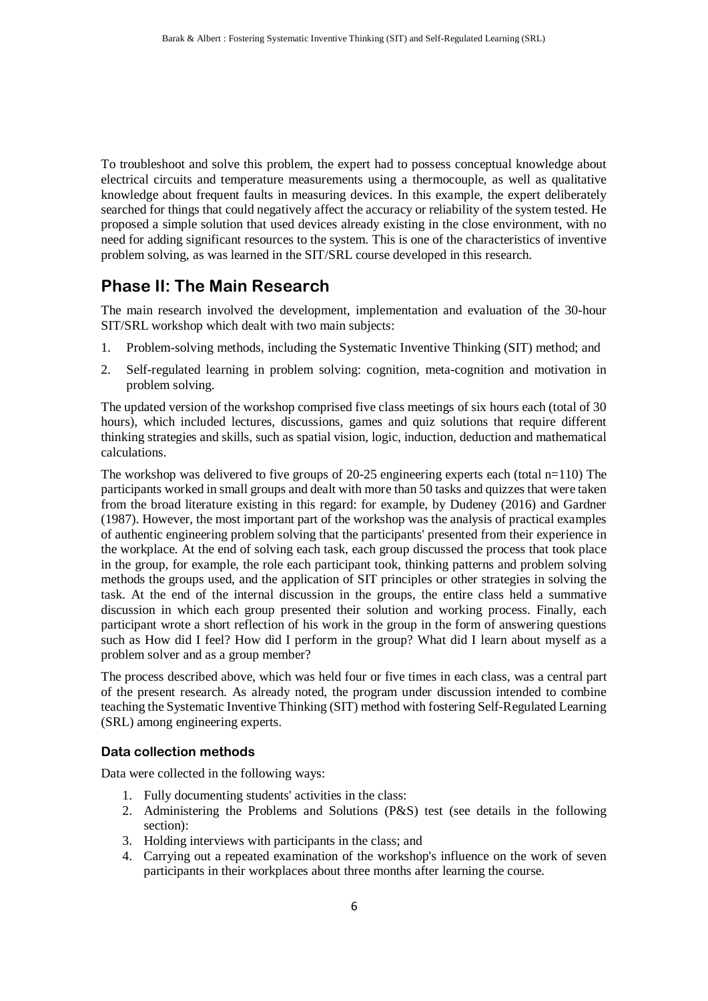To troubleshoot and solve this problem, the expert had to possess conceptual knowledge about electrical circuits and temperature measurements using a thermocouple, as well as qualitative knowledge about frequent faults in measuring devices. In this example, the expert deliberately searched for things that could negatively affect the accuracy or reliability of the system tested. He proposed a simple solution that used devices already existing in the close environment, with no need for adding significant resources to the system. This is one of the characteristics of inventive problem solving, as was learned in the SIT/SRL course developed in this research.

# **Phase II: The Main Research**

The main research involved the development, implementation and evaluation of the 30-hour SIT/SRL workshop which dealt with two main subjects:

- 1. Problem-solving methods, including the Systematic Inventive Thinking (SIT) method; and
- 2. Self-regulated learning in problem solving: cognition, meta-cognition and motivation in problem solving.

The updated version of the workshop comprised five class meetings of six hours each (total of 30 hours), which included lectures, discussions, games and quiz solutions that require different thinking strategies and skills, such as spatial vision, logic, induction, deduction and mathematical calculations.

The workshop was delivered to five groups of 20-25 engineering experts each (total n=110) The participants worked in small groups and dealt with more than 50 tasks and quizzes that were taken from the broad literature existing in this regard: for example, by Dudeney (2016) and Gardner (1987). However, the most important part of the workshop was the analysis of practical examples of authentic engineering problem solving that the participants' presented from their experience in the workplace. At the end of solving each task, each group discussed the process that took place in the group, for example, the role each participant took, thinking patterns and problem solving methods the groups used, and the application of SIT principles or other strategies in solving the task. At the end of the internal discussion in the groups, the entire class held a summative discussion in which each group presented their solution and working process. Finally, each participant wrote a short reflection of his work in the group in the form of answering questions such as How did I feel? How did I perform in the group? What did I learn about myself as a problem solver and as a group member?

The process described above, which was held four or five times in each class, was a central part of the present research. As already noted, the program under discussion intended to combine teaching the Systematic Inventive Thinking (SIT) method with fostering Self-Regulated Learning (SRL) among engineering experts.

### **Data collection methods**

Data were collected in the following ways:

- 1. Fully documenting students' activities in the class:
- 2. Administering the Problems and Solutions (P&S) test (see details in the following section):
- 3. Holding interviews with participants in the class; and
- 4. Carrying out a repeated examination of the workshop's influence on the work of seven participants in their workplaces about three months after learning the course.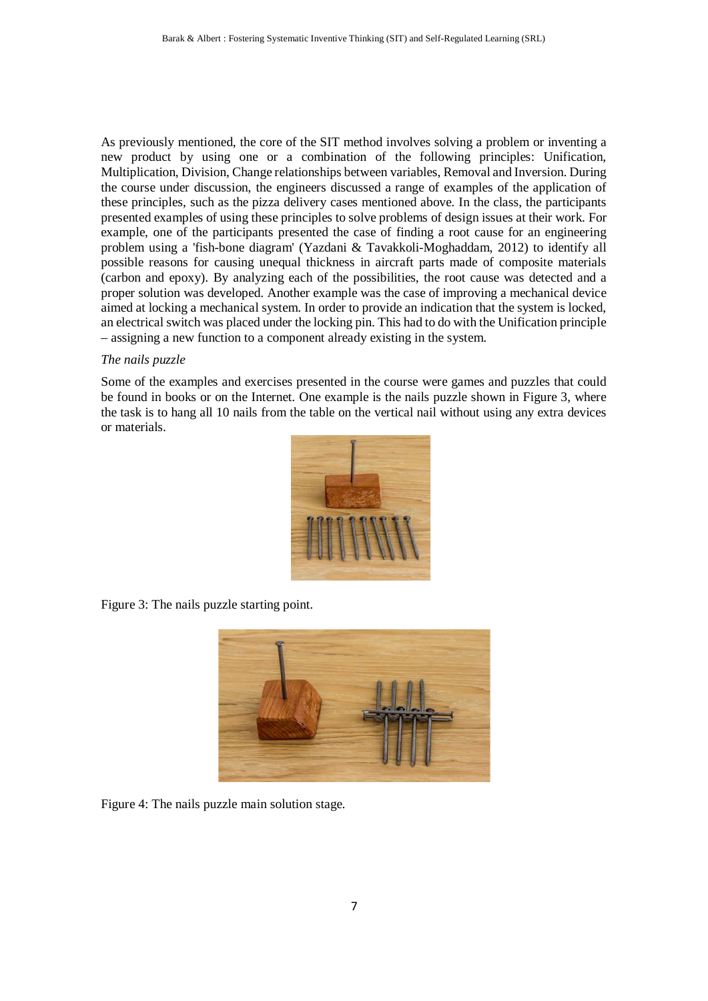As previously mentioned, the core of the SIT method involves solving a problem or inventing a new product by using one or a combination of the following principles: Unification, Multiplication, Division, Change relationships between variables, Removal and Inversion. During the course under discussion, the engineers discussed a range of examples of the application of these principles, such as the pizza delivery cases mentioned above. In the class, the participants presented examples of using these principles to solve problems of design issues at their work. For example, one of the participants presented the case of finding a root cause for an engineering problem using a 'fish-bone diagram' (Yazdani & Tavakkoli-Moghaddam, 2012) to identify all possible reasons for causing unequal thickness in aircraft parts made of composite materials (carbon and epoxy). By analyzing each of the possibilities, the root cause was detected and a proper solution was developed. Another example was the case of improving a mechanical device aimed at locking a mechanical system. In order to provide an indication that the system is locked, an electrical switch was placed under the locking pin. This had to do with the Unification principle – assigning a new function to a component already existing in the system.

#### *The nails puzzle*

Some of the examples and exercises presented in the course were games and puzzles that could be found in books or on the Internet. One example is the nails puzzle shown in Figure 3, where the task is to hang all 10 nails from the table on the vertical nail without using any extra devices or materials.



Figure 3: The nails puzzle starting point.



Figure 4: The nails puzzle main solution stage.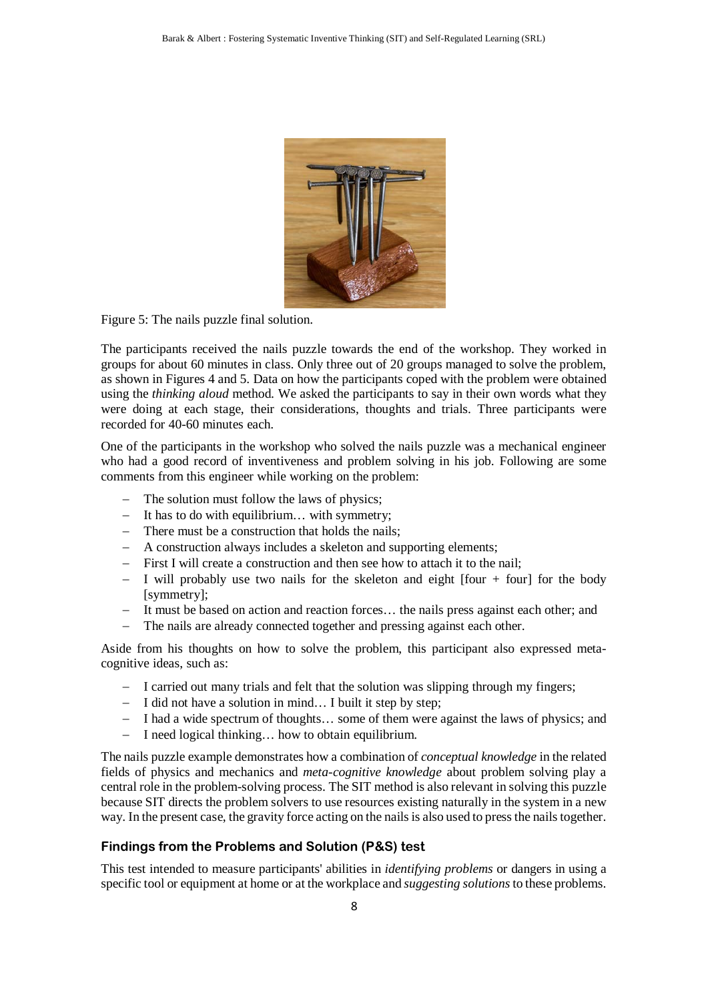

Figure 5: The nails puzzle final solution.

The participants received the nails puzzle towards the end of the workshop. They worked in groups for about 60 minutes in class. Only three out of 20 groups managed to solve the problem, as shown in Figures 4 and 5. Data on how the participants coped with the problem were obtained using the *thinking aloud* method. We asked the participants to say in their own words what they were doing at each stage, their considerations, thoughts and trials. Three participants were recorded for 40-60 minutes each.

One of the participants in the workshop who solved the nails puzzle was a mechanical engineer who had a good record of inventiveness and problem solving in his job. Following are some comments from this engineer while working on the problem:

- − The solution must follow the laws of physics;
- − It has to do with equilibrium… with symmetry;
- − There must be a construction that holds the nails;
- − A construction always includes a skeleton and supporting elements;
- − First I will create a construction and then see how to attach it to the nail;
- − I will probably use two nails for the skeleton and eight [four + four] for the body [symmetry];
- − It must be based on action and reaction forces… the nails press against each other; and
- The nails are already connected together and pressing against each other.

Aside from his thoughts on how to solve the problem, this participant also expressed metacognitive ideas, such as:

- − I carried out many trials and felt that the solution was slipping through my fingers;
- − I did not have a solution in mind… I built it step by step;
- − I had a wide spectrum of thoughts… some of them were against the laws of physics; and
- − I need logical thinking… how to obtain equilibrium.

The nails puzzle example demonstrates how a combination of *conceptual knowledge* in the related fields of physics and mechanics and *meta-cognitive knowledge* about problem solving play a central role in the problem-solving process. The SIT method is also relevant in solving this puzzle because SIT directs the problem solvers to use resources existing naturally in the system in a new way. In the present case, the gravity force acting on the nails is also used to press the nails together.

### **Findings from the Problems and Solution (P&S) test**

This test intended to measure participants' abilities in *identifying problems* or dangers in using a specific tool or equipment at home or at the workplace and *suggesting solutions* to these problems.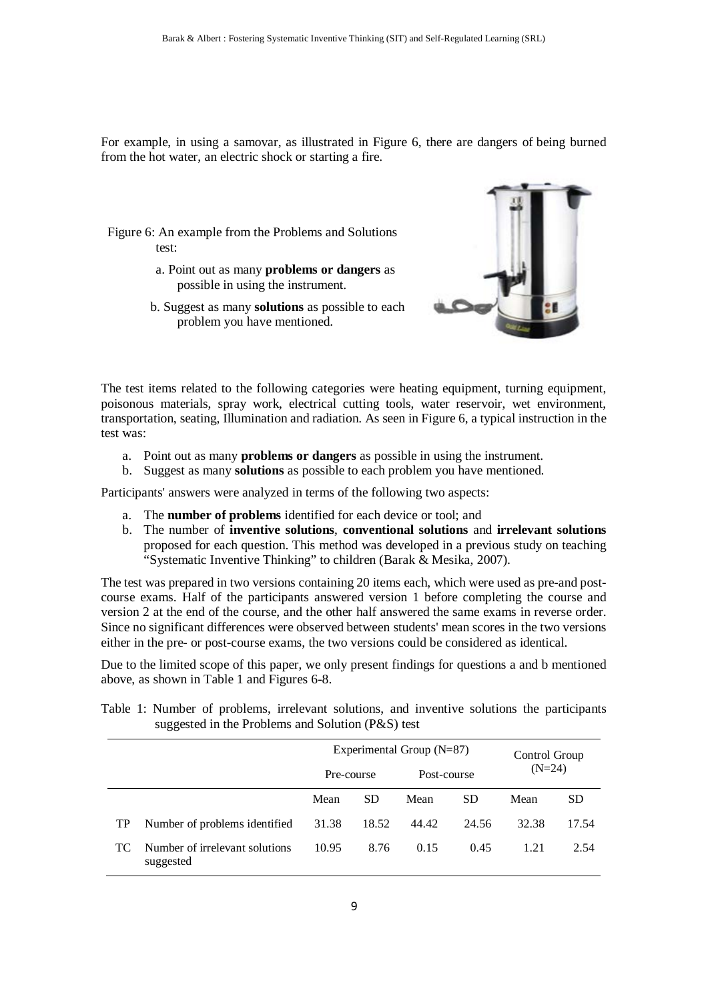For example, in using a samovar, as illustrated in Figure 6, there are dangers of being burned from the hot water, an electric shock or starting a fire.

Figure 6: An example from the Problems and Solutions test:

- a. Point out as many **problems or dangers** as possible in using the instrument.
- b. Suggest as many **solutions** as possible to each problem you have mentioned.



The test items related to the following categories were heating equipment, turning equipment, poisonous materials, spray work, electrical cutting tools, water reservoir, wet environment, transportation, seating, Illumination and radiation. As seen in Figure 6, a typical instruction in the test was:

- a. Point out as many **problems or dangers** as possible in using the instrument.
- b. Suggest as many **solutions** as possible to each problem you have mentioned.

Participants' answers were analyzed in terms of the following two aspects:

- a. The **number of problems** identified for each device or tool; and
- b. The number of **inventive solutions**, **conventional solutions** and **irrelevant solutions** proposed for each question. This method was developed in a previous study on teaching "Systematic Inventive Thinking" to children (Barak & Mesika, 2007).

The test was prepared in two versions containing 20 items each, which were used as pre-and postcourse exams. Half of the participants answered version 1 before completing the course and version 2 at the end of the course, and the other half answered the same exams in reverse order. Since no significant differences were observed between students' mean scores in the two versions either in the pre- or post-course exams, the two versions could be considered as identical.

Due to the limited scope of this paper, we only present findings for questions a and b mentioned above, as shown in Table 1 and Figures 6-8.

|                                                   |  |  |  |  |  |  |  |  |  |  | Table 1: Number of problems, irrelevant solutions, and inventive solutions the participants |
|---------------------------------------------------|--|--|--|--|--|--|--|--|--|--|---------------------------------------------------------------------------------------------|
| suggested in the Problems and Solution (P&S) test |  |  |  |  |  |  |  |  |  |  |                                                                                             |

|     |                                             |            | Experimental Group $(N=87)$ | Control Group<br>$(N=24)$ |           |             |           |
|-----|---------------------------------------------|------------|-----------------------------|---------------------------|-----------|-------------|-----------|
|     |                                             | Pre-course |                             |                           |           | Post-course |           |
|     |                                             | Mean       | <b>SD</b>                   | Mean                      | <b>SD</b> | Mean        | <b>SD</b> |
| TP  | Number of problems identified               | 31.38      | 18.52                       | 44.42                     | 24.56     | 32.38       | 17.54     |
| TC. | Number of irrelevant solutions<br>suggested | 10.95      | 8.76                        | 0.15                      | 0.45      | 1.21        | 2.54      |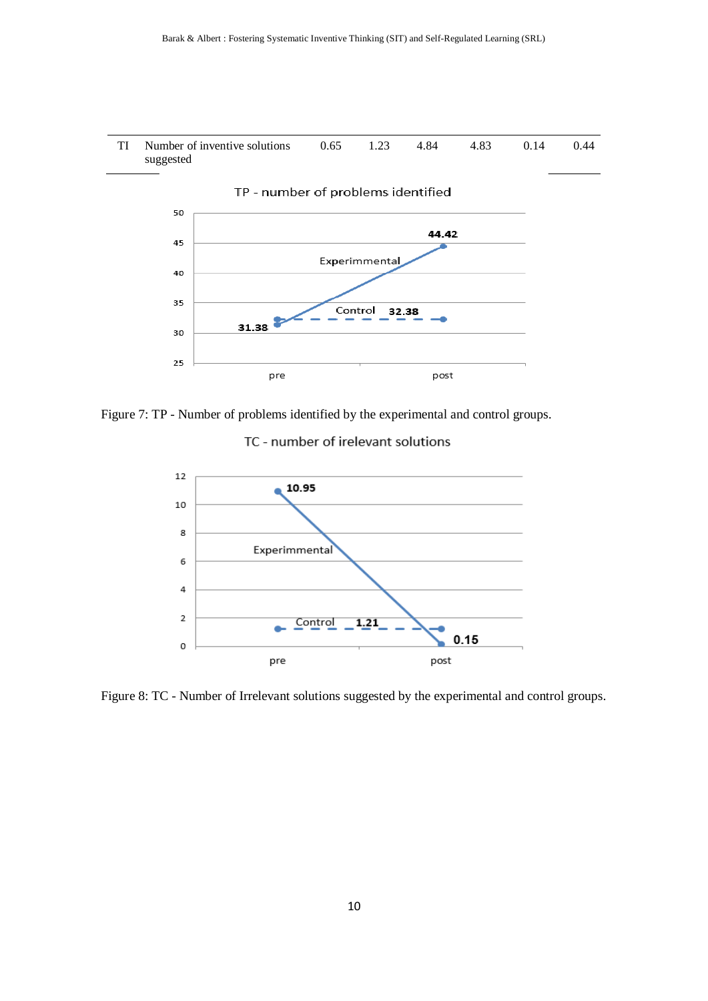



Figure 7: TP - Number of problems identified by the experimental and control groups.

# TC - number of irelevant solutions



Figure 8: TC - Number of Irrelevant solutions suggested by the experimental and control groups.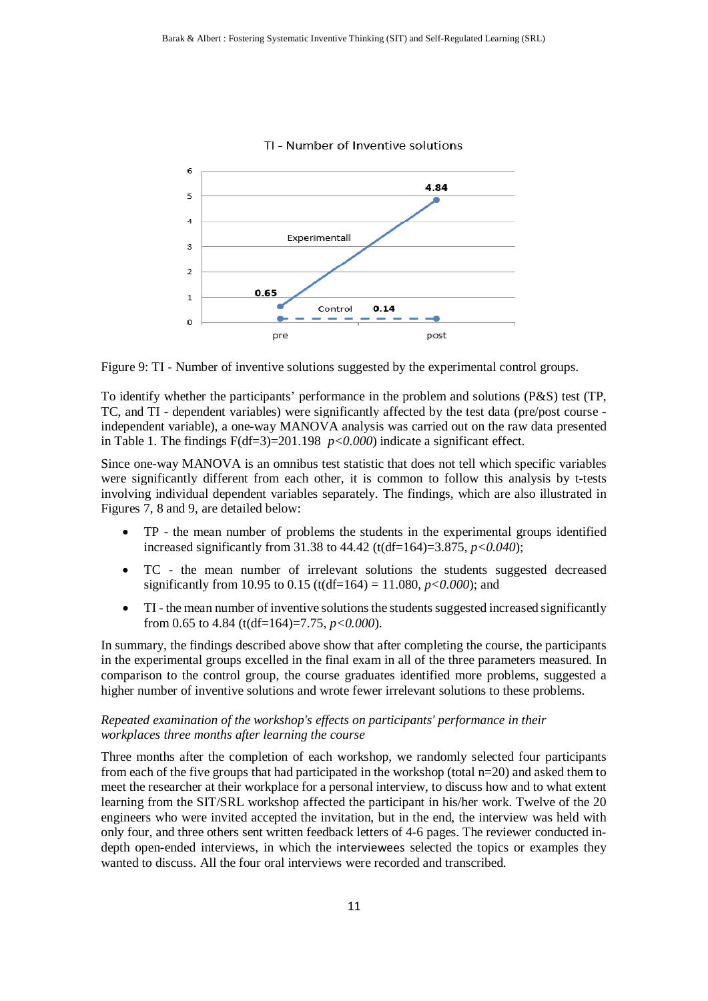

TI - Number of Inventive solutions

Figure 9: TI - Number of inventive solutions suggested by the experimental control groups.

To identify whether the participants' performance in the problem and solutions (P&S) test (TP, TC, and TI - dependent variables) were significantly affected by the test data (pre/post course independent variable), a one-way MANOVA analysis was carried out on the raw data presented in Table 1. The findings  $F(df=3)=201.198$   $p<0.000$  indicate a significant effect.

Since one-way MANOVA is an omnibus test statistic that does not tell which specific variables were significantly different from each other, it is common to follow this analysis by t-tests involving individual dependent variables separately. The findings, which are also illustrated in Figures 7, 8 and 9, are detailed below:

- TP the mean number of problems the students in the experimental groups identified increased significantly from 31.38 to 44.42 (t(df=164)=3.875, *p<0.040*);
- TC the mean number of irrelevant solutions the students suggested decreased significantly from 10.95 to 0.15 (t(df=164) = 11.080, *p<0.000*); and
- TI the mean number of inventive solutions the students suggested increased significantly from 0.65 to 4.84 (t(df=164)=7.75, *p<0.000*).

In summary, the findings described above show that after completing the course, the participants in the experimental groups excelled in the final exam in all of the three parameters measured. In comparison to the control group, the course graduates identified more problems, suggested a higher number of inventive solutions and wrote fewer irrelevant solutions to these problems.

#### *Repeated examination of the workshop's effects on participants' performance in their workplaces three months after learning the course*

Three months after the completion of each workshop, we randomly selected four participants from each of the five groups that had participated in the workshop (total n=20) and asked them to meet the researcher at their workplace for a personal interview, to discuss how and to what extent learning from the SIT/SRL workshop affected the participant in his/her work. Twelve of the 20 engineers who were invited accepted the invitation, but in the end, the interview was held with only four, and three others sent written feedback letters of 4-6 pages. The reviewer conducted indepth open-ended interviews, in which the interviewees selected the topics or examples they wanted to discuss. All the four oral interviews were recorded and transcribed.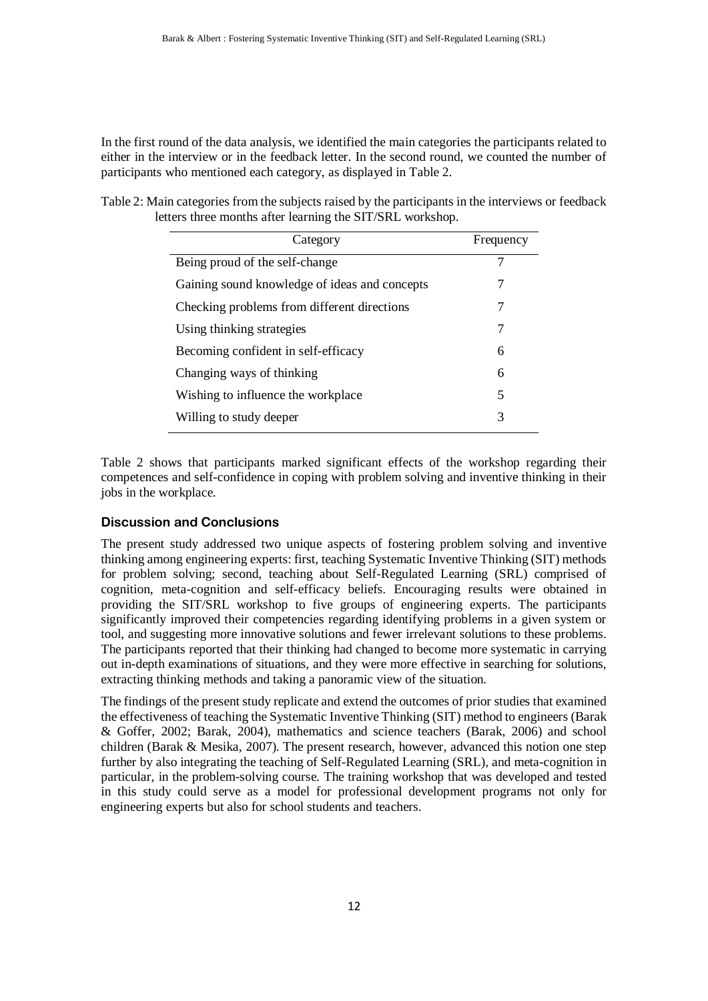In the first round of the data analysis, we identified the main categories the participants related to either in the interview or in the feedback letter. In the second round, we counted the number of participants who mentioned each category, as displayed in Table 2.

Table 2: Main categories from the subjects raised by the participants in the interviews or feedback letters three months after learning the SIT/SRL workshop.

| Category                                      | Frequency |
|-----------------------------------------------|-----------|
| Being proud of the self-change                |           |
| Gaining sound knowledge of ideas and concepts | 7         |
| Checking problems from different directions   | 7         |
| Using thinking strategies                     | 7         |
| Becoming confident in self-efficacy           | 6         |
| Changing ways of thinking                     | 6         |
| Wishing to influence the workplace            | 5         |
| Willing to study deeper                       | 3         |
|                                               |           |

Table 2 shows that participants marked significant effects of the workshop regarding their competences and self-confidence in coping with problem solving and inventive thinking in their jobs in the workplace.

### **Discussion and Conclusions**

The present study addressed two unique aspects of fostering problem solving and inventive thinking among engineering experts: first, teaching Systematic Inventive Thinking (SIT) methods for problem solving; second, teaching about Self-Regulated Learning (SRL) comprised of cognition, meta-cognition and self-efficacy beliefs. Encouraging results were obtained in providing the SIT/SRL workshop to five groups of engineering experts. The participants significantly improved their competencies regarding identifying problems in a given system or tool, and suggesting more innovative solutions and fewer irrelevant solutions to these problems. The participants reported that their thinking had changed to become more systematic in carrying out in-depth examinations of situations, and they were more effective in searching for solutions, extracting thinking methods and taking a panoramic view of the situation.

The findings of the present study replicate and extend the outcomes of prior studies that examined the effectiveness of teaching the Systematic Inventive Thinking (SIT) method to engineers (Barak & Goffer, 2002; Barak, 2004), mathematics and science teachers (Barak, 2006) and school children (Barak & Mesika, 2007). The present research, however, advanced this notion one step further by also integrating the teaching of Self-Regulated Learning (SRL), and meta-cognition in particular, in the problem-solving course. The training workshop that was developed and tested in this study could serve as a model for professional development programs not only for engineering experts but also for school students and teachers.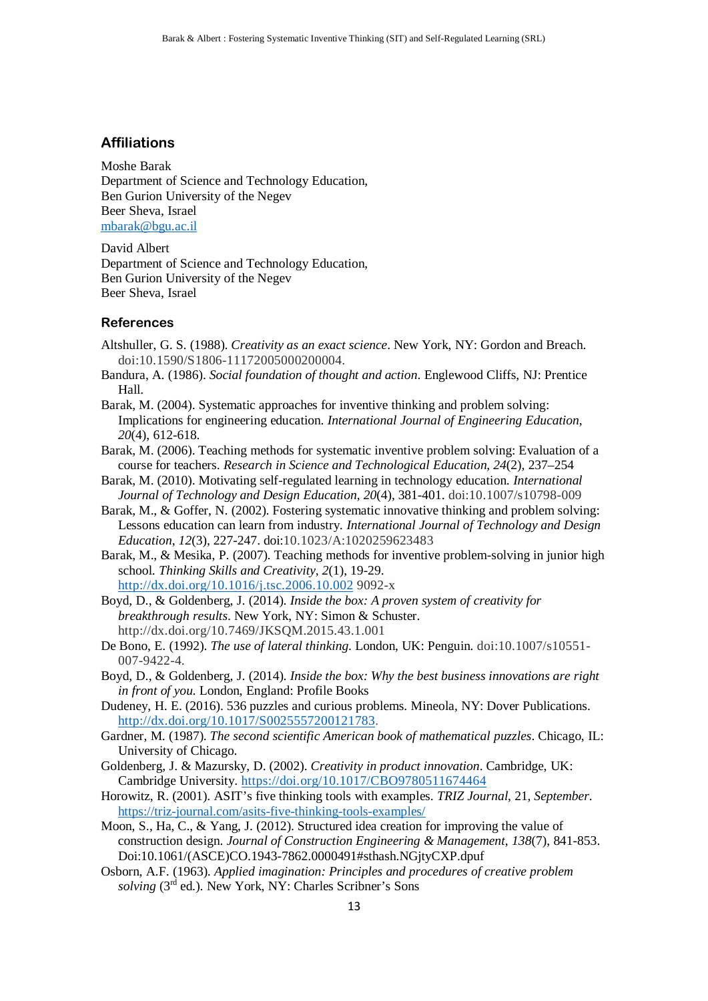#### **Affiliations**

Moshe Barak Department of Science and Technology Education, Ben Gurion University of the Negev Beer Sheva, Israel [mbarak@bgu.ac.il](mailto:mbarak@bgu.ac.il)

David Albert Department of Science and Technology Education, Ben Gurion University of the Negev Beer Sheva, Israel

#### **References**

- Altshuller, G. S. (1988). *Creativity as an exact science*. New York, NY: Gordon and Breach. doi:10.1590/S1806-11172005000200004.
- Bandura, A. (1986). *Social foundation of thought and action*. Englewood Cliffs, NJ: Prentice Hall.
- Barak, M. (2004). Systematic approaches for inventive thinking and problem solving: Implications for engineering education. *International Journal of Engineering Education*, *20*(4), 612-618.
- Barak, M. (2006). Teaching methods for systematic inventive problem solving: Evaluation of a course for teachers. *Research in Science and Technological Education*, *24*(2), 237–254
- Barak, M. (2010). Motivating self-regulated learning in technology education. *International Journal of Technology and Design Education*, *20*(4), 381-401. doi:10.1007/s10798-009
- Barak, M., & Goffer, N. (2002). Fostering systematic innovative thinking and problem solving: Lessons education can learn from industry*. International Journal of Technology and Design Education*, *12*(3), 227-247. doi:10.1023/A:1020259623483
- Barak, M., & Mesika, P. (2007). Teaching methods for inventive problem-solving in junior high school. *Thinking Skills and Creativity, 2*(1), 19-29. <http://dx.doi.org/10.1016/j.tsc.2006.10.002> 9092-x
- Boyd, D., & Goldenberg, J. (2014). *Inside the box: A proven system of creativity for breakthrough results*. New York, NY: Simon & Schuster. http://dx.doi.org/10.7469/JKSQM.2015.43.1.001
- De Bono, E. (1992). *The use of lateral thinking*. London, UK: Penguin. doi:10.1007/s10551- 007-9422-4.
- Boyd, D., & Goldenberg, J. (2014). *Inside the box: Why the best business innovations are right in front of you*. London, England: Profile Books
- Dudeney, H. E. (2016). 536 puzzles and curious problems. Mineola, NY: Dover Publications. [http://dx.doi.org/10.1017/S0025557200121783.](http://dx.doi.org/10.1017/S0025557200121783)
- Gardner, M. (1987). *The second scientific American book of mathematical puzzles*. Chicago, IL: University of Chicago.
- Goldenberg, J. & Mazursky, D. (2002). *Creativity in product innovation*. Cambridge, UK: Cambridge University.<https://doi.org/10.1017/CBO9780511674464>
- Horowitz, R. (2001). ASIT's five thinking tools with examples. *TRIZ Journal*, 21, *September*. <https://triz-journal.com/asits-five-thinking-tools-examples/>
- Moon, S., Ha, C., & Yang, J. (2012). Structured idea creation for improving the value of construction design. *Journal of Construction Engineering & Management*, *138*(7), 841-853. Doi:10.1061/(ASCE)CO.1943-7862.0000491#sthash.NGjtyCXP.dpuf
- Osborn, A.F. (1963). *Applied imagination: Principles and procedures of creative problem solving* (3rd ed.). New York, NY: Charles Scribner's Sons